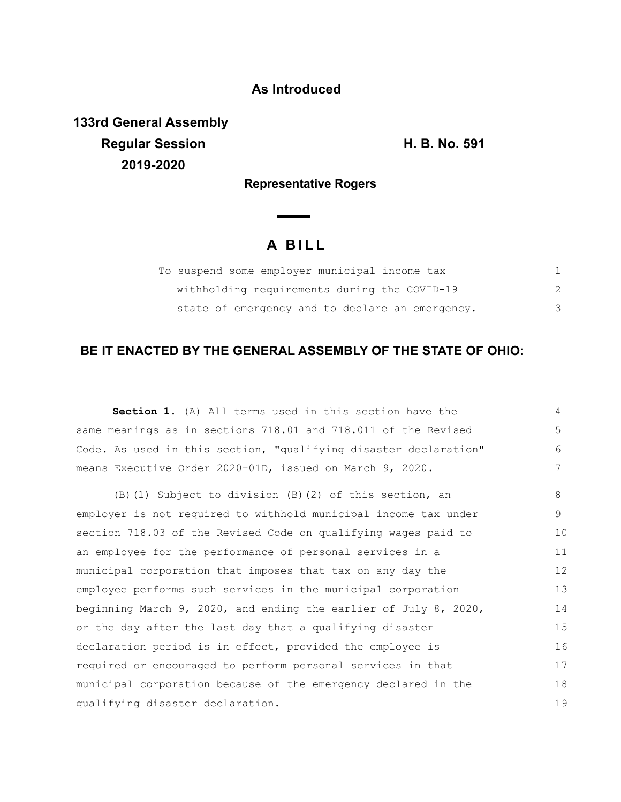## **As Introduced**

**133rd General Assembly Regular Session H. B. No. 591 2019-2020**

**Representative Rogers**

## **A B I L L**

| To suspend some employer municipal income tax   |  |
|-------------------------------------------------|--|
| withholding requirements during the COVID-19    |  |
| state of emergency and to declare an emergency. |  |

## **BE IT ENACTED BY THE GENERAL ASSEMBLY OF THE STATE OF OHIO:**

**Section 1.** (A) All terms used in this section have the same meanings as in sections 718.01 and 718.011 of the Revised Code. As used in this section, "qualifying disaster declaration" means Executive Order 2020-01D, issued on March 9, 2020. (B)(1) Subject to division (B)(2) of this section, an employer is not required to withhold municipal income tax under section 718.03 of the Revised Code on qualifying wages paid to an employee for the performance of personal services in a municipal corporation that imposes that tax on any day the employee performs such services in the municipal corporation beginning March 9, 2020, and ending the earlier of July 8, 2020, or the day after the last day that a qualifying disaster declaration period is in effect, provided the employee is required or encouraged to perform personal services in that municipal corporation because of the emergency declared in the qualifying disaster declaration. 4 5 6 7 8 9 10 11 12 13 14 15 16 17 18 19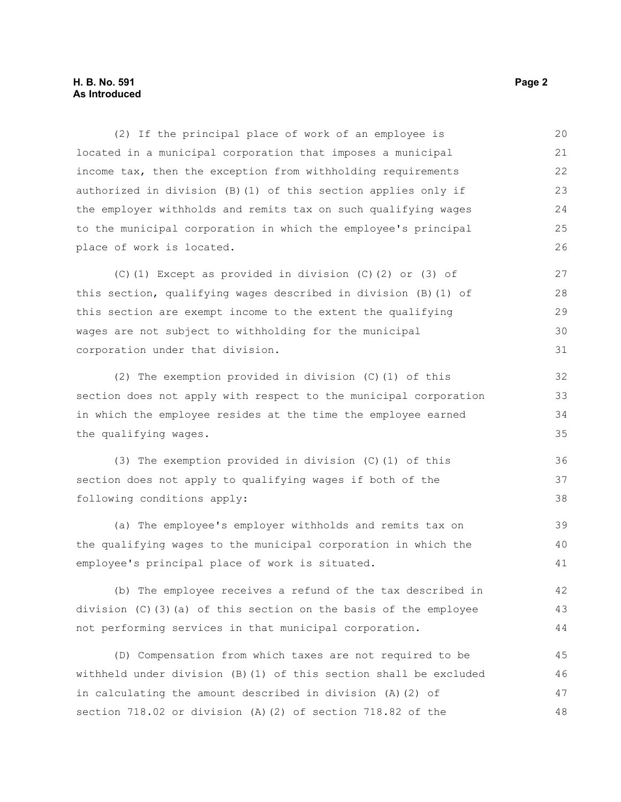## **H. B. No. 591 Page 2 As Introduced**

(2) If the principal place of work of an employee is located in a municipal corporation that imposes a municipal income tax, then the exception from withholding requirements authorized in division (B)(1) of this section applies only if the employer withholds and remits tax on such qualifying wages to the municipal corporation in which the employee's principal place of work is located. 20 21 22 23 24 25 26

(C)(1) Except as provided in division (C)(2) or (3) of this section, qualifying wages described in division (B)(1) of this section are exempt income to the extent the qualifying wages are not subject to withholding for the municipal corporation under that division.

(2) The exemption provided in division (C)(1) of this section does not apply with respect to the municipal corporation in which the employee resides at the time the employee earned the qualifying wages.

(3) The exemption provided in division (C)(1) of this section does not apply to qualifying wages if both of the following conditions apply: 37 38

(a) The employee's employer withholds and remits tax on the qualifying wages to the municipal corporation in which the employee's principal place of work is situated. 39 40 41

(b) The employee receives a refund of the tax described in division (C)(3)(a) of this section on the basis of the employee not performing services in that municipal corporation. 42 43 44

(D) Compensation from which taxes are not required to be withheld under division (B)(1) of this section shall be excluded in calculating the amount described in division (A)(2) of section 718.02 or division (A)(2) of section 718.82 of the 45 46 47 48

36